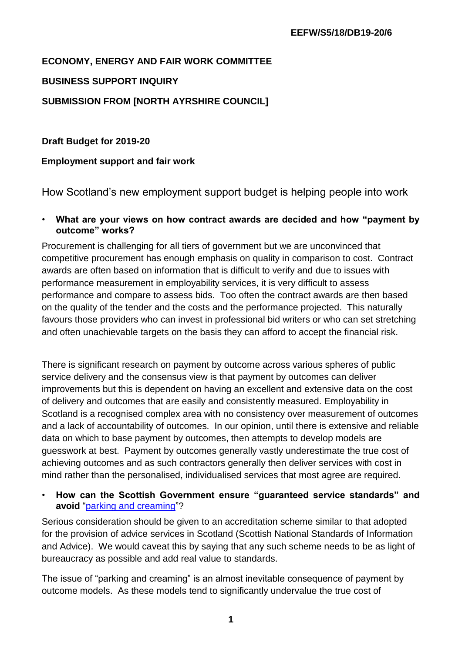## **ECONOMY, ENERGY AND FAIR WORK COMMITTEE**

## **BUSINESS SUPPORT INQUIRY**

## **SUBMISSION FROM [NORTH AYRSHIRE COUNCIL]**

## **Draft Budget for 2019-20**

## **Employment support and fair work**

How Scotland's new employment support budget is helping people into work

• **What are your views on how contract awards are decided and how "payment by outcome" works?**

Procurement is challenging for all tiers of government but we are unconvinced that competitive procurement has enough emphasis on quality in comparison to cost. Contract awards are often based on information that is difficult to verify and due to issues with performance measurement in employability services, it is very difficult to assess performance and compare to assess bids. Too often the contract awards are then based on the quality of the tender and the costs and the performance projected. This naturally favours those providers who can invest in professional bid writers or who can set stretching and often unachievable targets on the basis they can afford to accept the financial risk.

There is significant research on payment by outcome across various spheres of public service delivery and the consensus view is that payment by outcomes can deliver improvements but this is dependent on having an excellent and extensive data on the cost of delivery and outcomes that are easily and consistently measured. Employability in Scotland is a recognised complex area with no consistency over measurement of outcomes and a lack of accountability of outcomes. In our opinion, until there is extensive and reliable data on which to base payment by outcomes, then attempts to develop models are guesswork at best. Payment by outcomes generally vastly underestimate the true cost of achieving outcomes and as such contractors generally then deliver services with cost in mind rather than the personalised, individualised services that most agree are required.

## • **How can the Scottish Government ensure "guaranteed service standards" and avoid** ["parking and creaming"?](https://www.theguardian.com/commentisfree/2013/feb/20/work-programme-success-creaming-parking)

Serious consideration should be given to an accreditation scheme similar to that adopted for the provision of advice services in Scotland (Scottish National Standards of Information and Advice). We would caveat this by saying that any such scheme needs to be as light of bureaucracy as possible and add real value to standards.

The issue of "parking and creaming" is an almost inevitable consequence of payment by outcome models. As these models tend to significantly undervalue the true cost of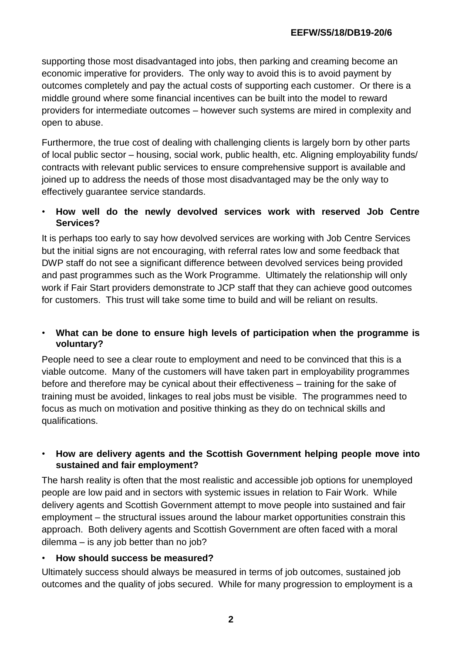supporting those most disadvantaged into jobs, then parking and creaming become an economic imperative for providers. The only way to avoid this is to avoid payment by outcomes completely and pay the actual costs of supporting each customer. Or there is a middle ground where some financial incentives can be built into the model to reward providers for intermediate outcomes – however such systems are mired in complexity and open to abuse.

Furthermore, the true cost of dealing with challenging clients is largely born by other parts of local public sector – housing, social work, public health, etc. Aligning employability funds/ contracts with relevant public services to ensure comprehensive support is available and joined up to address the needs of those most disadvantaged may be the only way to effectively guarantee service standards.

## • **How well do the newly devolved services work with reserved Job Centre Services?**

It is perhaps too early to say how devolved services are working with Job Centre Services but the initial signs are not encouraging, with referral rates low and some feedback that DWP staff do not see a significant difference between devolved services being provided and past programmes such as the Work Programme. Ultimately the relationship will only work if Fair Start providers demonstrate to JCP staff that they can achieve good outcomes for customers. This trust will take some time to build and will be reliant on results.

## • **What can be done to ensure high levels of participation when the programme is voluntary?**

People need to see a clear route to employment and need to be convinced that this is a viable outcome. Many of the customers will have taken part in employability programmes before and therefore may be cynical about their effectiveness – training for the sake of training must be avoided, linkages to real jobs must be visible. The programmes need to focus as much on motivation and positive thinking as they do on technical skills and qualifications.

## • **How are delivery agents and the Scottish Government helping people move into sustained and fair employment?**

The harsh reality is often that the most realistic and accessible job options for unemployed people are low paid and in sectors with systemic issues in relation to Fair Work. While delivery agents and Scottish Government attempt to move people into sustained and fair employment – the structural issues around the labour market opportunities constrain this approach. Both delivery agents and Scottish Government are often faced with a moral dilemma – is any job better than no job?

## • **How should success be measured?**

Ultimately success should always be measured in terms of job outcomes, sustained job outcomes and the quality of jobs secured. While for many progression to employment is a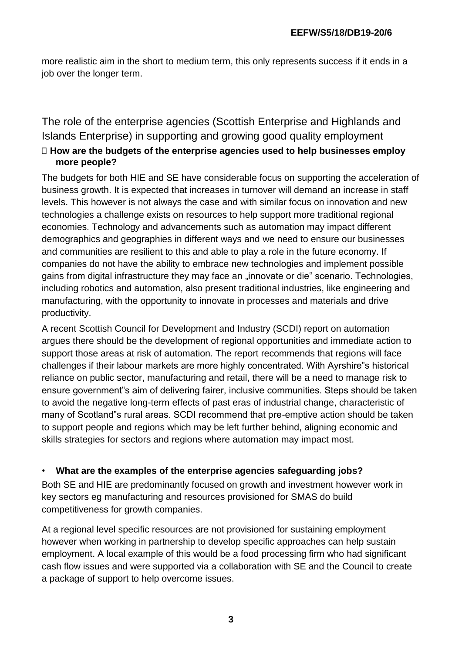more realistic aim in the short to medium term, this only represents success if it ends in a job over the longer term.

# The role of the enterprise agencies (Scottish Enterprise and Highlands and Islands Enterprise) in supporting and growing good quality employment **How are the budgets of the enterprise agencies used to help businesses employ more people?**

The budgets for both HIE and SE have considerable focus on supporting the acceleration of business growth. It is expected that increases in turnover will demand an increase in staff levels. This however is not always the case and with similar focus on innovation and new technologies a challenge exists on resources to help support more traditional regional economies. Technology and advancements such as automation may impact different demographics and geographies in different ways and we need to ensure our businesses and communities are resilient to this and able to play a role in the future economy. If companies do not have the ability to embrace new technologies and implement possible gains from digital infrastructure they may face an "innovate or die" scenario. Technologies, including robotics and automation, also present traditional industries, like engineering and manufacturing, with the opportunity to innovate in processes and materials and drive productivity.

A recent Scottish Council for Development and Industry (SCDI) report on automation argues there should be the development of regional opportunities and immediate action to support those areas at risk of automation. The report recommends that regions will face challenges if their labour markets are more highly concentrated. With Ayrshire"s historical reliance on public sector, manufacturing and retail, there will be a need to manage risk to ensure government"s aim of delivering fairer, inclusive communities. Steps should be taken to avoid the negative long-term effects of past eras of industrial change, characteristic of many of Scotland"s rural areas. SCDI recommend that pre-emptive action should be taken to support people and regions which may be left further behind, aligning economic and skills strategies for sectors and regions where automation may impact most.

## • **What are the examples of the enterprise agencies safeguarding jobs?**

Both SE and HIE are predominantly focused on growth and investment however work in key sectors eg manufacturing and resources provisioned for SMAS do build competitiveness for growth companies.

At a regional level specific resources are not provisioned for sustaining employment however when working in partnership to develop specific approaches can help sustain employment. A local example of this would be a food processing firm who had significant cash flow issues and were supported via a collaboration with SE and the Council to create a package of support to help overcome issues.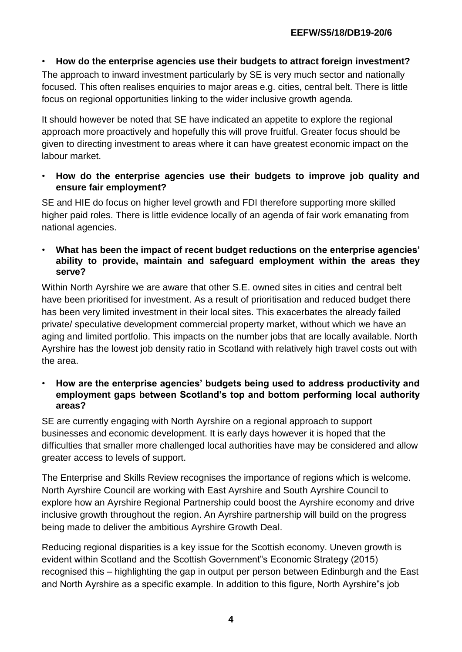## • **How do the enterprise agencies use their budgets to attract foreign investment?**

The approach to inward investment particularly by SE is very much sector and nationally focused. This often realises enquiries to major areas e.g. cities, central belt. There is little focus on regional opportunities linking to the wider inclusive growth agenda.

It should however be noted that SE have indicated an appetite to explore the regional approach more proactively and hopefully this will prove fruitful. Greater focus should be given to directing investment to areas where it can have greatest economic impact on the labour market.

• **How do the enterprise agencies use their budgets to improve job quality and ensure fair employment?** 

SE and HIE do focus on higher level growth and FDI therefore supporting more skilled higher paid roles. There is little evidence locally of an agenda of fair work emanating from national agencies.

• **What has been the impact of recent budget reductions on the enterprise agencies' ability to provide, maintain and safeguard employment within the areas they serve?** 

Within North Ayrshire we are aware that other S.E. owned sites in cities and central belt have been prioritised for investment. As a result of prioritisation and reduced budget there has been very limited investment in their local sites. This exacerbates the already failed private/ speculative development commercial property market, without which we have an aging and limited portfolio. This impacts on the number jobs that are locally available. North Ayrshire has the lowest job density ratio in Scotland with relatively high travel costs out with the area.

• **How are the enterprise agencies' budgets being used to address productivity and employment gaps between Scotland's top and bottom performing local authority areas?** 

SE are currently engaging with North Ayrshire on a regional approach to support businesses and economic development. It is early days however it is hoped that the difficulties that smaller more challenged local authorities have may be considered and allow greater access to levels of support.

The Enterprise and Skills Review recognises the importance of regions which is welcome. North Ayrshire Council are working with East Ayrshire and South Ayrshire Council to explore how an Ayrshire Regional Partnership could boost the Ayrshire economy and drive inclusive growth throughout the region. An Ayrshire partnership will build on the progress being made to deliver the ambitious Ayrshire Growth Deal.

Reducing regional disparities is a key issue for the Scottish economy. Uneven growth is evident within Scotland and the Scottish Government"s Economic Strategy (2015) recognised this – highlighting the gap in output per person between Edinburgh and the East and North Ayrshire as a specific example. In addition to this figure, North Ayrshire"s job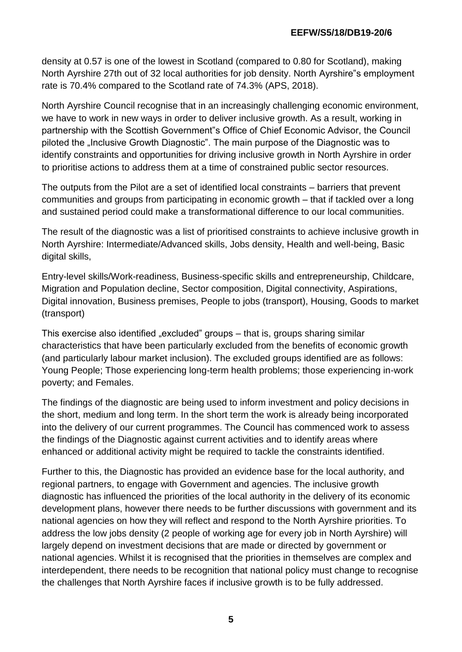density at 0.57 is one of the lowest in Scotland (compared to 0.80 for Scotland), making North Ayrshire 27th out of 32 local authorities for job density. North Ayrshire"s employment rate is 70.4% compared to the Scotland rate of 74.3% (APS, 2018).

North Ayrshire Council recognise that in an increasingly challenging economic environment, we have to work in new ways in order to deliver inclusive growth. As a result, working in partnership with the Scottish Government"s Office of Chief Economic Advisor, the Council piloted the "Inclusive Growth Diagnostic". The main purpose of the Diagnostic was to identify constraints and opportunities for driving inclusive growth in North Ayrshire in order to prioritise actions to address them at a time of constrained public sector resources.

The outputs from the Pilot are a set of identified local constraints – barriers that prevent communities and groups from participating in economic growth – that if tackled over a long and sustained period could make a transformational difference to our local communities.

The result of the diagnostic was a list of prioritised constraints to achieve inclusive growth in North Ayrshire: Intermediate/Advanced skills, Jobs density, Health and well-being, Basic digital skills,

Entry-level skills/Work-readiness, Business-specific skills and entrepreneurship, Childcare, Migration and Population decline, Sector composition, Digital connectivity, Aspirations, Digital innovation, Business premises, People to jobs (transport), Housing, Goods to market (transport)

This exercise also identified "excluded" groups – that is, groups sharing similar characteristics that have been particularly excluded from the benefits of economic growth (and particularly labour market inclusion). The excluded groups identified are as follows: Young People; Those experiencing long-term health problems; those experiencing in-work poverty; and Females.

The findings of the diagnostic are being used to inform investment and policy decisions in the short, medium and long term. In the short term the work is already being incorporated into the delivery of our current programmes. The Council has commenced work to assess the findings of the Diagnostic against current activities and to identify areas where enhanced or additional activity might be required to tackle the constraints identified.

Further to this, the Diagnostic has provided an evidence base for the local authority, and regional partners, to engage with Government and agencies. The inclusive growth diagnostic has influenced the priorities of the local authority in the delivery of its economic development plans, however there needs to be further discussions with government and its national agencies on how they will reflect and respond to the North Ayrshire priorities. To address the low jobs density (2 people of working age for every job in North Ayrshire) will largely depend on investment decisions that are made or directed by government or national agencies. Whilst it is recognised that the priorities in themselves are complex and interdependent, there needs to be recognition that national policy must change to recognise the challenges that North Ayrshire faces if inclusive growth is to be fully addressed.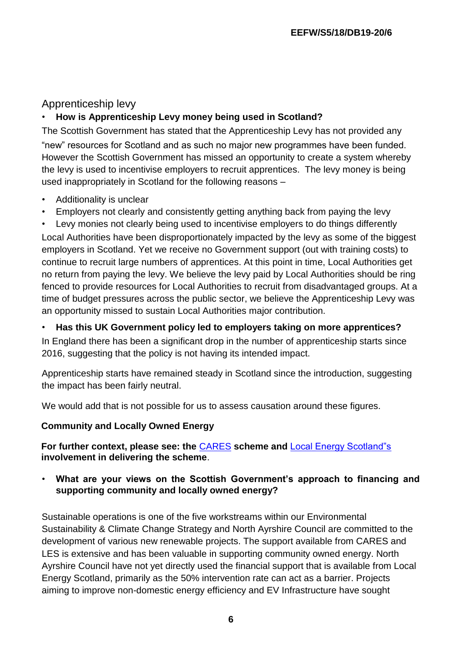# Apprenticeship levy

## • **How is Apprenticeship Levy money being used in Scotland?**

The Scottish Government has stated that the Apprenticeship Levy has not provided any "new" resources for Scotland and as such no major new programmes have been funded. However the Scottish Government has missed an opportunity to create a system whereby the levy is used to incentivise employers to recruit apprentices. The levy money is being used inappropriately in Scotland for the following reasons –

- Additionality is unclear
- Employers not clearly and consistently getting anything back from paying the levy

Levy monies not clearly being used to incentivise employers to do things differently Local Authorities have been disproportionately impacted by the levy as some of the biggest employers in Scotland. Yet we receive no Government support (out with training costs) to continue to recruit large numbers of apprentices. At this point in time, Local Authorities get no return from paying the levy. We believe the levy paid by Local Authorities should be ring fenced to provide resources for Local Authorities to recruit from disadvantaged groups. At a time of budget pressures across the public sector, we believe the Apprenticeship Levy was an opportunity missed to sustain Local Authorities major contribution.

## • **Has this UK Government policy led to employers taking on more apprentices?**

In England there has been a significant drop in the number of apprenticeship starts since 2016, suggesting that the policy is not having its intended impact.

Apprenticeship starts have remained steady in Scotland since the introduction, suggesting the impact has been fairly neutral.

We would add that is not possible for us to assess causation around these figures.

## **Community and Locally Owned Energy**

**For further context, please see: th[e](http://www.gov.scot/Topics/Business-Industry/Energy/Energy-sources/19185/Communities)** [CARES](http://www.gov.scot/Topics/Business-Industry/Energy/Energy-sources/19185/Communities) **[s](http://www.gov.scot/Topics/Business-Industry/Energy/Energy-sources/19185/Communities)cheme an[d](https://www.localenergy.scot/projects-and-case-studies/searchable-map-of-local-energy-projects/)** [Local Energy Scotland"s](https://www.localenergy.scot/projects-and-case-studies/searchable-map-of-local-energy-projects/) **involvement in delivering the scheme**.

• **What are your views on the Scottish Government's approach to financing and supporting community and locally owned energy?** 

Sustainable operations is one of the five workstreams within our Environmental Sustainability & Climate Change Strategy and North Ayrshire Council are committed to the development of various new renewable projects. The support available from CARES and LES is extensive and has been valuable in supporting community owned energy. North Ayrshire Council have not yet directly used the financial support that is available from Local Energy Scotland, primarily as the 50% intervention rate can act as a barrier. Projects aiming to improve non-domestic energy efficiency and EV Infrastructure have sought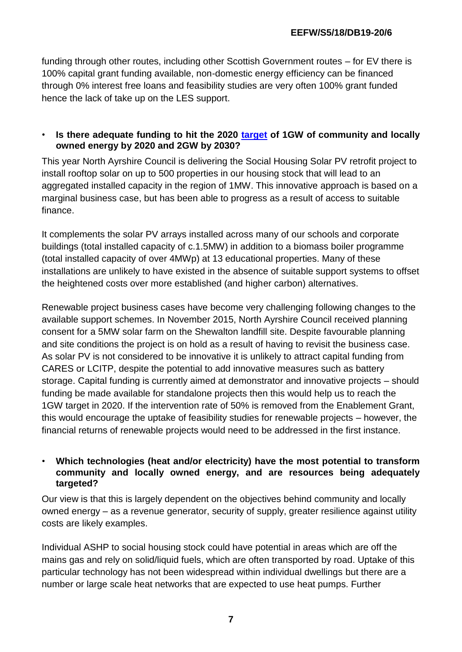funding through other routes, including other Scottish Government routes – for EV there is 100% capital grant funding available, non-domestic energy efficiency can be financed through 0% interest free loans and feasibility studies are very often 100% grant funded hence the lack of take up on the LES support.

## • **Is there adequate funding to hit the 2020 [target](https://www.localenergy.scot/projects-and-case-studies/searchable-map-of-local-energy-projects/) of 1GW of community and locally owned energy by 2020 and 2GW by 2030?**

This year North Ayrshire Council is delivering the Social Housing Solar PV retrofit project to install rooftop solar on up to 500 properties in our housing stock that will lead to an aggregated installed capacity in the region of 1MW. This innovative approach is based on a marginal business case, but has been able to progress as a result of access to suitable finance.

It complements the solar PV arrays installed across many of our schools and corporate buildings (total installed capacity of c.1.5MW) in addition to a biomass boiler programme (total installed capacity of over 4MWp) at 13 educational properties. Many of these installations are unlikely to have existed in the absence of suitable support systems to offset the heightened costs over more established (and higher carbon) alternatives.

Renewable project business cases have become very challenging following changes to the available support schemes. In November 2015, North Ayrshire Council received planning consent for a 5MW solar farm on the Shewalton landfill site. Despite favourable planning and site conditions the project is on hold as a result of having to revisit the business case. As solar PV is not considered to be innovative it is unlikely to attract capital funding from CARES or LCITP, despite the potential to add innovative measures such as battery storage. Capital funding is currently aimed at demonstrator and innovative projects – should funding be made available for standalone projects then this would help us to reach the 1GW target in 2020. If the intervention rate of 50% is removed from the Enablement Grant, this would encourage the uptake of feasibility studies for renewable projects – however, the financial returns of renewable projects would need to be addressed in the first instance.

## • **Which technologies (heat and/or electricity) have the most potential to transform community and locally owned energy, and are resources being adequately targeted?**

Our view is that this is largely dependent on the objectives behind community and locally owned energy – as a revenue generator, security of supply, greater resilience against utility costs are likely examples.

Individual ASHP to social housing stock could have potential in areas which are off the mains gas and rely on solid/liquid fuels, which are often transported by road. Uptake of this particular technology has not been widespread within individual dwellings but there are a number or large scale heat networks that are expected to use heat pumps. Further